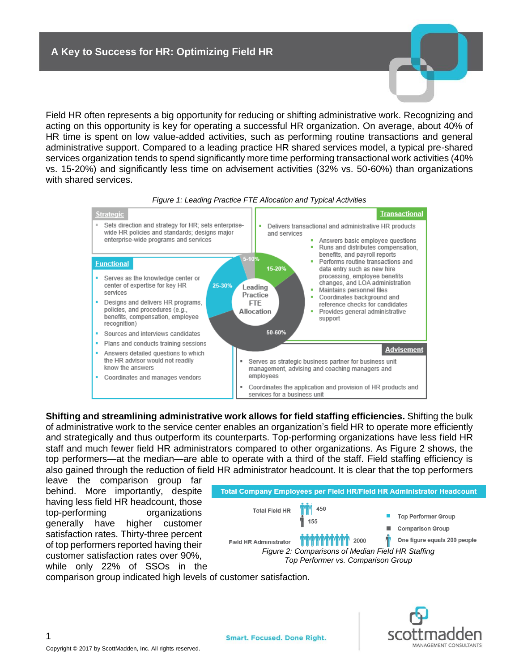Field HR often represents a big opportunity for reducing or shifting administrative work. Recognizing and acting on this opportunity is key for operating a successful HR organization. On average, about 40% of HR time is spent on low value-added activities, such as performing routine transactions and general administrative support. Compared to a leading practice HR shared services model, a typical pre-shared services organization tends to spend significantly more time performing transactional work activities (40% vs. 15-20%) and significantly less time on advisement activities (32% vs. 50-60%) than organizations with shared services.





**Shifting and streamlining administrative work allows for field staffing efficiencies.** Shifting the bulk of administrative work to the service center enables an organization's field HR to operate more efficiently and strategically and thus outperform its counterparts. Top-performing organizations have less field HR staff and much fewer field HR administrators compared to other organizations. As Figure 2 shows, the top performers—at the median—are able to operate with a third of the staff. Field staffing efficiency is also gained through the reduction of field HR administrator headcount. It is clear that the top performers

leave the comparison group far behind. More importantly, despite having less field HR headcount, those top-performing organizations generally have higher customer satisfaction rates. Thirty-three percent of top performers reported having their customer satisfaction rates over 90%, while only 22% of SSOs in the



comparison group indicated high levels of customer satisfaction.



1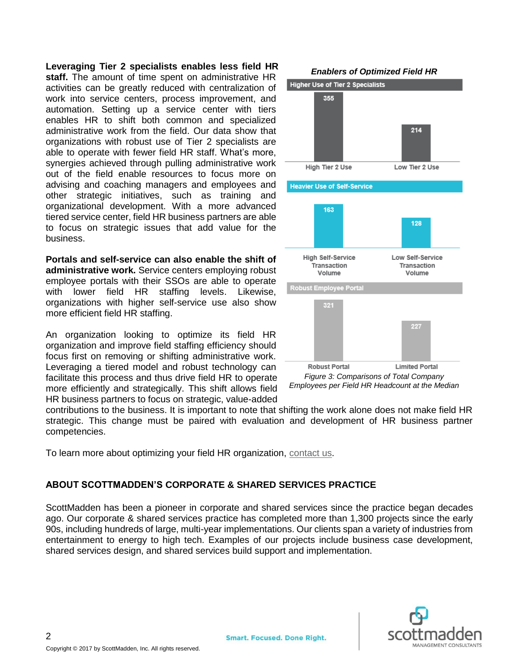## **Leveraging Tier 2 specialists enables less field HR**

**staff.** The amount of time spent on administrative HR activities can be greatly reduced with centralization of work into service centers, process improvement, and automation. Setting up a service center with tiers enables HR to shift both common and specialized administrative work from the field. Our data show that organizations with robust use of Tier 2 specialists are able to operate with fewer field HR staff. What's more, synergies achieved through pulling administrative work out of the field enable resources to focus more on advising and coaching managers and employees and other strategic initiatives, such as training and organizational development. With a more advanced tiered service center, field HR business partners are able to focus on strategic issues that add value for the business.

**Portals and self-service can also enable the shift of administrative work.** Service centers employing robust employee portals with their SSOs are able to operate with lower field HR staffing levels. Likewise, organizations with higher self-service use also show more efficient field HR staffing.

An organization looking to optimize its field HR organization and improve field staffing efficiency should focus first on removing or shifting administrative work. Leveraging a tiered model and robust technology can facilitate this process and thus drive field HR to operate more efficiently and strategically. This shift allows field HR business partners to focus on strategic, value-added



*Figure 3: Comparisons of Total Company Employees per Field HR Headcount at the Median*

contributions to the business. It is important to note that shifting the work alone does not make field HR strategic. This change must be paired with evaluation and development of HR business partner competencies.

To learn more about optimizing your field HR organization, [contact us.](mailto:info@scottmadden.com)

## **ABOUT SCOTTMADDEN'S CORPORATE & SHARED SERVICES PRACTICE**

ScottMadden has been a pioneer in corporate and shared services since the practice began decades ago. Our corporate & shared services practice has completed more than 1,300 projects since the early 90s, including hundreds of large, multi-year implementations. Our clients span a variety of industries from entertainment to energy to high tech. Examples of our projects include business case development, shared services design, and shared services build support and implementation.



2